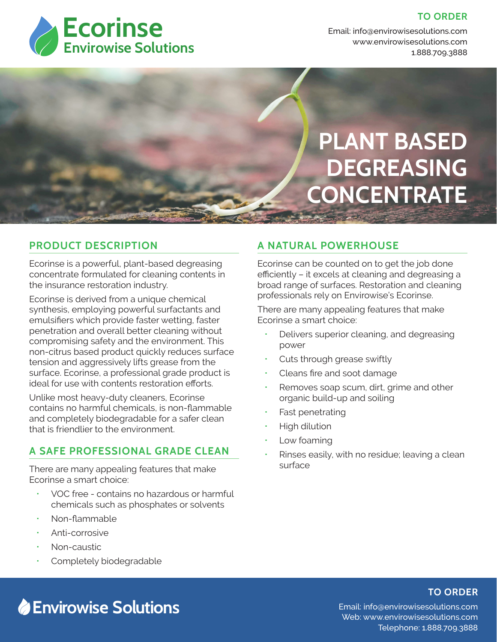#### **TO ORDER**



Email: info@envirowisesolutions.com Web: www.envirowisesolutions.com 1.888.709.3888

**PLANT BASED DEGREASING CONCENTRATE**

#### **PRODUCT DESCRIPTION**

Ecorinse is a powerful, plant-based degreasing concentrate formulated for cleaning contents in the insurance restoration industry.

Ecorinse is derived from a unique chemical synthesis, employing powerful surfactants and emulsifiers which provide faster wetting, faster penetration and overall better cleaning without compromising safety and the environment. This non-citrus based product quickly reduces surface tension and aggressively lifts grease from the surface. Ecorinse, a professional grade product is ideal for use with contents restoration efforts.

Unlike most heavy-duty cleaners, Ecorinse contains no harmful chemicals, is non-flammable and completely biodegradable for a safer clean that is friendlier to the environment.

### **A SAFE PROFESSIONAL GRADE CLEAN**

There are many appealing features that make Ecorinse a smart choice:

- VOC free contains no hazardous or harmful chemicals such as phosphates or solvents
- Non-flammable
- Anti-corrosive
- Non-caustic
- Completely biodegradable

## **A NATURAL POWERHOUSE**

Ecorinse can be counted on to get the job done efficiently – it excels at cleaning and degreasing a broad range of surfaces. Restoration and cleaning professionals rely on Envirowise's Ecorinse.

There are many appealing features that make Ecorinse a smart choice:

- Delivers superior cleaning, and degreasing power
- Cuts through grease swiftly
- Cleans fire and soot damage
- Removes soap scum, dirt, grime and other organic build-up and soiling
- Fast penetrating
- High dilution
- Low foaming
- Rinses easily, with no residue; leaving a clean surface

#### **TO ORDER**

**Envirowise Solutions**

Email: info@envirowisesolutions.com Web: www.envirowisesolutions.com Telephone: 1.888.709.3888